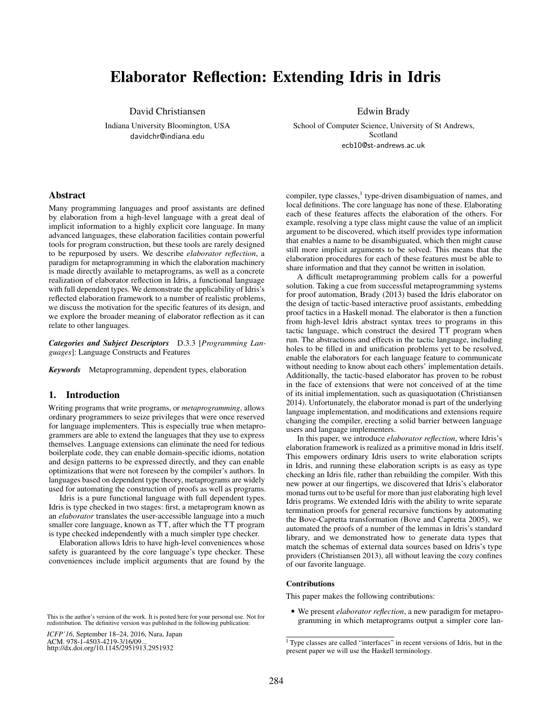# Elaborator Reflection: Extending Idris in Idris

David Christiansen

Indiana University Bloomington, USA davidchr@indiana.edu

Edwin Brady

School of Computer Science, University of St Andrews, Scotland ecb10@st-andrews.ac.uk

## Abstract

Many programming languages and proof assistants are defined by elaboration from a high-level language with a great deal of implicit information to a highly explicit core language. In many advanced languages, these elaboration facilities contain powerful tools for program construction, but these tools are rarely designed to be repurposed by users. We describe *elaborator reflection*, a paradigm for metaprogramming in which the elaboration machinery is made directly available to metaprograms, as well as a concrete realization of elaborator reflection in Idris, a functional language with full dependent types. We demonstrate the applicability of Idris's reflected elaboration framework to a number of realistic problems, we discuss the motivation for the specific features of its design, and we explore the broader meaning of elaborator reflection as it can relate to other languages.

*Categories and Subject Descriptors* D.3.3 [*Programming Languages*]: Language Constructs and Features

*Keywords* Metaprogramming, dependent types, elaboration

#### 1. Introduction

Writing programs that write programs, or *metaprogramming*, allows ordinary programmers to seize privileges that were once reserved for language implementers. This is especially true when metaprogrammers are able to extend the languages that they use to express themselves. Language extensions can eliminate the need for tedious boilerplate code, they can enable domain-specific idioms, notation and design patterns to be expressed directly, and they can enable optimizations that were not foreseen by the compiler's authors. In languages based on dependent type theory, metaprograms are widely used for automating the construction of proofs as well as programs.

Idris is a pure functional language with full dependent types. Idris is type checked in two stages: first, a metaprogram known as an *elaborator* translates the user-accessible language into a much smaller core language, known as TT, after which the TT program is type checked independently with a much simpler type checker.

Elaboration allows Idris to have high-level conveniences whose safety is guaranteed by the core language's type checker. These conveniences include implicit arguments that are found by the

This is the author's version of the work. It is posted here for your personal use. Not for redistribution. The definitive version was published in the following publication:

compiler, type classes,<sup>1</sup> type-driven disambiguation of names, and local definitions. The core language has none of these. Elaborating each of these features affects the elaboration of the others. For example, resolving a type class might cause the value of an implicit argument to be discovered, which itself provides type information that enables a name to be disambiguated, which then might cause still more implicit arguments to be solved. This means that the elaboration procedures for each of these features must be able to share information and that they cannot be written in isolation.

A difficult metaprogramming problem calls for a powerful solution. Taking a cue from successful metaprogramming systems for proof automation, Brady (2013) based the Idris elaborator on the design of tactic-based interactive proof assistants, embedding proof tactics in a Haskell monad. The elaborator is then a function from high-level Idris abstract syntax trees to programs in this tactic language, which construct the desired TT program when run. The abstractions and effects in the tactic language, including holes to be filled in and unification problems yet to be resolved, enable the elaborators for each language feature to communicate without needing to know about each others' implementation details. Additionally, the tactic-based elaborator has proven to be robust in the face of extensions that were not conceived of at the time of its initial implementation, such as quasiquotation (Christiansen 2014). Unfortunately, the elaborator monad is part of the underlying language implementation, and modifications and extensions require changing the compiler, erecting a solid barrier between language users and language implementers.

In this paper, we introduce *elaborator reflection*, where Idris's elaboration framework is realized as a primitive monad in Idris itself. This empowers ordinary Idris users to write elaboration scripts in Idris, and running these elaboration scripts is as easy as type checking an Idris file, rather than rebuilding the compiler. With this new power at our fingertips, we discovered that Idris's elaborator monad turns out to be useful for more than just elaborating high level Idris programs. We extended Idris with the ability to write separate termination proofs for general recursive functions by automating the Bove-Capretta transformation (Bove and Capretta 2005), we automated the proofs of a number of the lemmas in Idris's standard library, and we demonstrated how to generate data types that match the schemas of external data sources based on Idris's type providers (Christiansen 2013), all without leaving the cozy confines of our favorite language.

#### Contributions

This paper makes the following contributions:

• We present *elaborator reflection*, a new paradigm for metaprogramming in which metaprograms output a simpler core lan-

*ICFP'16*, September 18–24, 2016, Nara, Japan ACM. 978-1-4503-4219-3/16/09. http://dx.doi.org/10.1145/2951913.2951932

<sup>1</sup> Type classes are called "interfaces" in recent versions of Idris, but in the present paper we will use the Haskell terminology.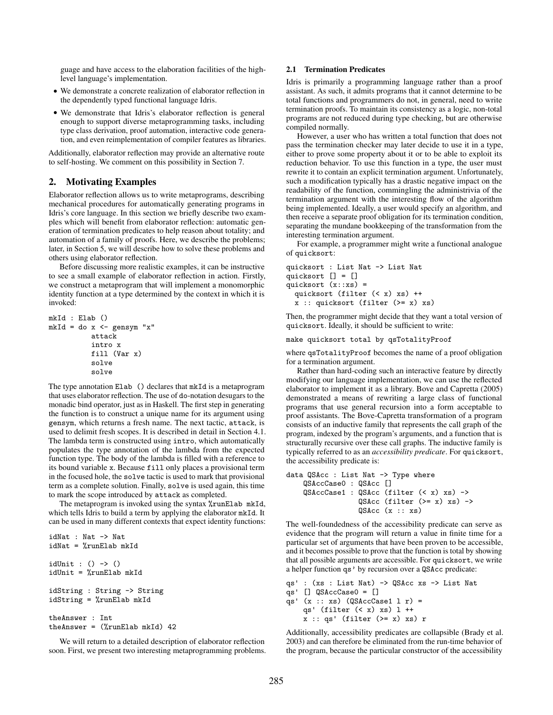guage and have access to the elaboration facilities of the highlevel language's implementation.

- We demonstrate a concrete realization of elaborator reflection in the dependently typed functional language Idris.
- We demonstrate that Idris's elaborator reflection is general enough to support diverse metaprogramming tasks, including type class derivation, proof automation, interactive code generation, and even reimplementation of compiler features as libraries.

Additionally, elaborator reflection may provide an alternative route to self-hosting. We comment on this possibility in Section 7.

## 2. Motivating Examples

Elaborator reflection allows us to write metaprograms, describing mechanical procedures for automatically generating programs in Idris's core language. In this section we briefly describe two examples which will benefit from elaborator reflection: automatic generation of termination predicates to help reason about totality; and automation of a family of proofs. Here, we describe the problems; later, in Section 5, we will describe how to solve these problems and others using elaborator reflection.

Before discussing more realistic examples, it can be instructive to see a small example of elaborator reflection in action. Firstly, we construct a metaprogram that will implement a monomorphic identity function at a type determined by the context in which it is invoked:

```
mkId : Elab ()
mkId = do x \leftarrow gensym "x"attack
           intro x
           fill (Var x)
           solve
           solve
```
The type annotation Elab () declares that mkId is a metaprogram that uses elaborator reflection. The use of do-notation desugars to the monadic bind operator, just as in Haskell. The first step in generating the function is to construct a unique name for its argument using gensym, which returns a fresh name. The next tactic, attack, is used to delimit fresh scopes. It is described in detail in Section 4.1. The lambda term is constructed using intro, which automatically populates the type annotation of the lambda from the expected function type. The body of the lambda is filled with a reference to its bound variable x. Because fill only places a provisional term in the focused hole, the solve tactic is used to mark that provisional term as a complete solution. Finally, solve is used again, this time to mark the scope introduced by attack as completed.

The metaprogram is invoked using the syntax %runElab mkId, which tells Idris to build a term by applying the elaborator mkId. It can be used in many different contexts that expect identity functions:

```
idNat : Nat -> Nat
idNat = %runElab mkId
idUnit : () \rightarrow ()idUnit = %runElab mkId
idString : String -> String
idString = %runElab mkId
theAnswer : Int
theAnswer = (%runElab mkId) 42
```
We will return to a detailed description of elaborator reflection soon. First, we present two interesting metaprogramming problems.

## 2.1 Termination Predicates

Idris is primarily a programming language rather than a proof assistant. As such, it admits programs that it cannot determine to be total functions and programmers do not, in general, need to write termination proofs. To maintain its consistency as a logic, non-total programs are not reduced during type checking, but are otherwise compiled normally.

However, a user who has written a total function that does not pass the termination checker may later decide to use it in a type, either to prove some property about it or to be able to exploit its reduction behavior. To use this function in a type, the user must rewrite it to contain an explicit termination argument. Unfortunately, such a modification typically has a drastic negative impact on the readability of the function, commingling the administrivia of the termination argument with the interesting flow of the algorithm being implemented. Ideally, a user would specify an algorithm, and then receive a separate proof obligation for its termination condition, separating the mundane bookkeeping of the transformation from the interesting termination argument.

For example, a programmer might write a functional analogue of quicksort:

```
quicksort : List Nat -> List Nat
quicksort [] = []
quicksort (x::xs) =
  quicksort (filter (< x) xs) ++
  x :: quicksort (filter (>= x) xs)
```
Then, the programmer might decide that they want a total version of quicksort. Ideally, it should be sufficient to write:

make quicksort total by qsTotalityProof

where qsTotalityProof becomes the name of a proof obligation for a termination argument.

Rather than hard-coding such an interactive feature by directly modifying our language implementation, we can use the reflected elaborator to implement it as a library. Bove and Capretta (2005) demonstrated a means of rewriting a large class of functional programs that use general recursion into a form acceptable to proof assistants. The Bove-Capretta transformation of a program consists of an inductive family that represents the call graph of the program, indexed by the program's arguments, and a function that is structurally recursive over these call graphs. The inductive family is typically referred to as an *accessibility predicate*. For quicksort, the accessibility predicate is:

```
data QSAcc : List Nat -> Type where
    QSAccCase0 : QSAcc []
    QSAccCase1 : QSAcc (filter (< x) xs) ->
                 QSAcc (filter (>= x) xs) ->
                 QSAcc (x :: xs)
```
The well-foundedness of the accessibility predicate can serve as evidence that the program will return a value in finite time for a particular set of arguments that have been proven to be accessible, and it becomes possible to prove that the function is total by showing that all possible arguments are accessible. For quicksort, we write a helper function qs' by recursion over a QSAcc predicate:

```
qs' : (xs : List Nat) -> QSAcc xs -> List Nat
qs' [] QSAccCase0 = []
qs' (x :: xs) (QSAccCase1 1 r) =
    qs' (filter (< x) xs) l ++
    x :: qs' (filter (>= x) xs) r
```
Additionally, accessibility predicates are collapsible (Brady et al. 2003) and can therefore be eliminated from the run-time behavior of the program, because the particular constructor of the accessibility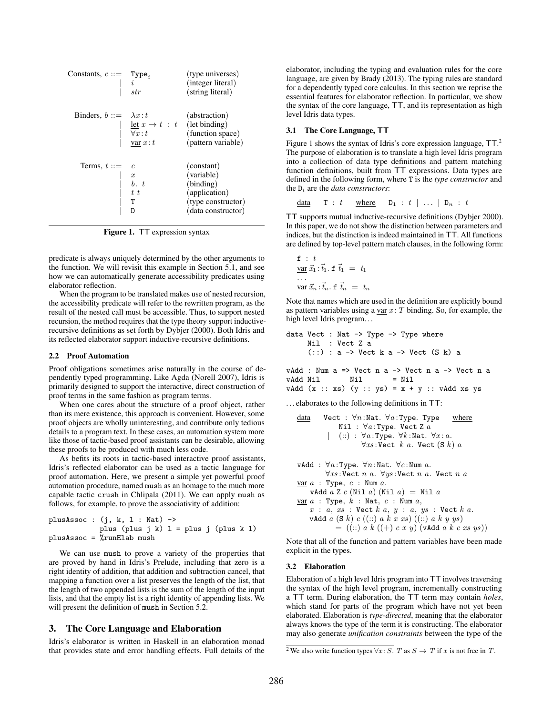| Constants, $c ::=$ Type <sub>i</sub> | str                                                                   | (type universes)<br>(integer literal)<br>(string literal)                                          |
|--------------------------------------|-----------------------------------------------------------------------|----------------------------------------------------------------------------------------------------|
| Binders, $b ::= \lambda x : t$       | let $x \mapsto t : t$ (let binding)<br>$\forall x : t$<br>var $x : t$ | (abstraction)<br>(function space)<br>(pattern variable)                                            |
| Terms, $t ::=$                       | $\boldsymbol{x}$<br>t t<br>T                                          | (constant)<br>(variable)<br>(binding)<br>(application)<br>(type constructor)<br>(data constructor) |

Figure 1. TT expression syntax

predicate is always uniquely determined by the other arguments to the function. We will revisit this example in Section 5.1, and see how we can automatically generate accessibility predicates using elaborator reflection.

When the program to be translated makes use of nested recursion, the accessibility predicate will refer to the rewritten program, as the result of the nested call must be accessible. Thus, to support nested recursion, the method requires that the type theory support inductiverecursive definitions as set forth by Dybjer (2000). Both Idris and its reflected elaborator support inductive-recursive definitions.

#### 2.2 Proof Automation

Proof obligations sometimes arise naturally in the course of dependently typed programming. Like Agda (Norell 2007), Idris is primarily designed to support the interactive, direct construction of proof terms in the same fashion as program terms.

When one cares about the structure of a proof object, rather than its mere existence, this approach is convenient. However, some proof objects are wholly uninteresting, and contribute only tedious details to a program text. In these cases, an automation system more like those of tactic-based proof assistants can be desirable, allowing these proofs to be produced with much less code.

As befits its roots in tactic-based interactive proof assistants, Idris's reflected elaborator can be used as a tactic language for proof automation. Here, we present a simple yet powerful proof automation procedure, named mush as an homage to the much more capable tactic crush in Chlipala (2011). We can apply mush as follows, for example, to prove the associativity of addition:

```
plusAssoc : (j, k, l : Nat) ->
           plus (plus j k) l = plus j (plus k l)
plusAssoc = %runElab mush
```
We can use mush to prove a variety of the properties that are proved by hand in Idris's Prelude, including that zero is a right identity of addition, that addition and subtraction cancel, that mapping a function over a list preserves the length of the list, that the length of two appended lists is the sum of the length of the input lists, and that the empty list is a right identity of appending lists. We will present the definition of mush in Section 5.2.

## 3. The Core Language and Elaboration

Idris's elaborator is written in Haskell in an elaboration monad that provides state and error handling effects. Full details of the elaborator, including the typing and evaluation rules for the core language, are given by Brady (2013). The typing rules are standard for a dependently typed core calculus. In this section we reprise the essential features for elaborator reflection. In particular, we show the syntax of the core language, TT, and its representation as high level Idris data types.

#### 3.1 The Core Language, TT

Figure 1 shows the syntax of Idris's core expression language,  $TT$ .<sup>2</sup> The purpose of elaboration is to translate a high level Idris program into a collection of data type definitions and pattern matching function definitions, built from TT expressions. Data types are defined in the following form, where T is the *type constructor* and the  $D_i$  are the *data constructors*:

data  $T : t$  where  $D_1 : t \mid ... \mid D_n : t$ 

TT supports mutual inductive-recursive definitions (Dybjer 2000). In this paper, we do not show the distinction between parameters and indices, but the distinction is indeed maintained in TT. All functions are defined by top-level pattern match clauses, in the following form:

$$
\begin{aligned}\n\mathbf{f} & \div t \\
\frac{\text{var}}{\mathbf{x}_1} & \div \vec{t}_1. \mathbf{f} \ \vec{t}_1 & = t_1 \\
& \cdots \\
\frac{\text{var}}{\mathbf{x}_n} & \div \vec{t}_n. \mathbf{f} \ \vec{t}_n & = t_n\n\end{aligned}
$$

Note that names which are used in the definition are explicitly bound as pattern variables using a  $\text{var } x : T$  binding. So, for example, the high level Idris program...

```
data Vect : Nat -> Type -> Type where
     Nil : Vect Z a
      (::): a \rightarrow Vect k a \rightarrow Vect (S k) a
```
vAdd : Num a => Vect n a -> Vect n a -> Vect n a  $vAdd Nil$   $Nil$  = Nil vAdd  $(x :: xs) (y :: ys) = x + y :: vAdd xs ys)$ 

. . . elaborates to the following definitions in TT:

```
data Vect : \forall n:Nat. \forall a:Type. Type where
                Nil : \forall a: Type. Vect Z a
                (:): \forall a: Type. \forall k: Nat. \forall x : a.
                         \forall xs : \texttt{Vect} \; k \; a. \; \texttt{Vect} \; (S \; k) \; avAdd : \forall a:Type. \forall n:Nat. \forall c:Num a.
           \forall xs : \texttt{Vect} \ n \ a. \ \forall ys : \texttt{Vect} \ n \ a. \ \texttt{Vect} \ n \ avar a : Type, c : Num a.vAdd a Z c (Nil a) (Nil a) = Nil avar a : Type, k : Nat, c : Num a,
```
 $x : a, xs : \text{Vect } k a, y : a, ys : \text{Vect } k a.$ vAdd  $a(S k) c ((::) a k x x s)((::) a k y y s)$  $= ((::) a k ((+) c x y) (vAdd a k c x s y s))$ 

Note that all of the function and pattern variables have been made explicit in the types.

#### 3.2 Elaboration

Elaboration of a high level Idris program into TT involves traversing the syntax of the high level program, incrementally constructing a TT term. During elaboration, the TT term may contain *holes*, which stand for parts of the program which have not yet been elaborated. Elaboration is *type-directed*, meaning that the elaborator always knows the type of the term it is constructing. The elaborator may also generate *unification constraints* between the type of the

<sup>&</sup>lt;sup>2</sup> We also write function types  $\forall x : S$ . *T* as  $S \rightarrow T$  if *x* is not free in *T*.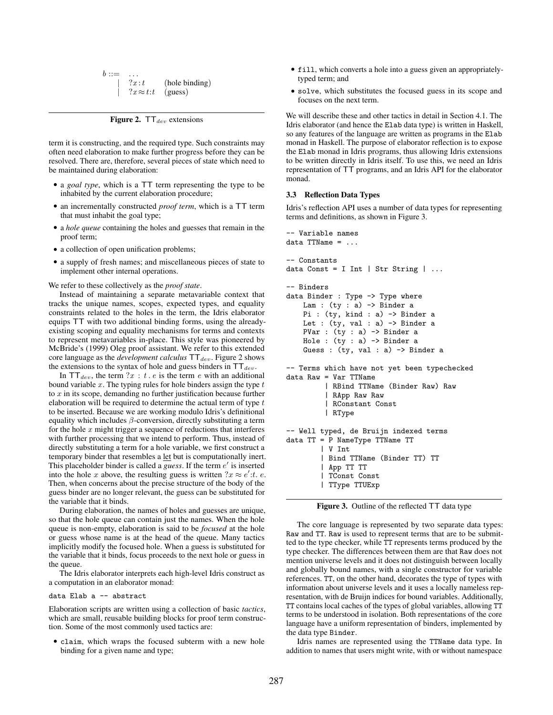| $b ::=$ | $\overline{\phantom{a}}$ |                |
|---------|--------------------------|----------------|
|         | ?x:t                     | (hole binding) |
|         | $?x \approx t:t$ (guess) |                |

Figure 2.  $TT_{dev}$  extensions

term it is constructing, and the required type. Such constraints may often need elaboration to make further progress before they can be resolved. There are, therefore, several pieces of state which need to be maintained during elaboration:

- a *goal type*, which is a TT term representing the type to be inhabited by the current elaboration procedure;
- an incrementally constructed *proof term*, which is a TT term that must inhabit the goal type;
- a *hole queue* containing the holes and guesses that remain in the proof term;
- a collection of open unification problems;
- a supply of fresh names; and miscellaneous pieces of state to implement other internal operations.

We refer to these collectively as the *proof state*.

Instead of maintaining a separate metavariable context that tracks the unique names, scopes, expected types, and equality constraints related to the holes in the term, the Idris elaborator equips TT with two additional binding forms, using the alreadyexisting scoping and equality mechanisms for terms and contexts to represent metavariables in-place. This style was pioneered by McBride's (1999) Oleg proof assistant. We refer to this extended core language as the *development calculus*  $TT_{dev}$ . Figure 2 shows the extensions to the syntax of hole and guess binders in  $TT_{dev}$ .

In  $TT_{dev}$ , the term ?x : t . e is the term e with an additional bound variable  $x$ . The typing rules for hole binders assign the type  $t$ to  $x$  in its scope, demanding no further justification because further elaboration will be required to determine the actual term of type  $t$ to be inserted. Because we are working modulo Idris's definitional equality which includes  $\beta$ -conversion, directly substituting a term for the hole  $x$  might trigger a sequence of reductions that interferes with further processing that we intend to perform. Thus, instead of directly substituting a term for a hole variable, we first construct a temporary binder that resembles a let but is computationally inert. This placeholder binder is called a *guess*. If the term  $e'$  is inserted into the hole x above, the resulting guess is written  $2x \approx e'$ : t. e. Then, when concerns about the precise structure of the body of the guess binder are no longer relevant, the guess can be substituted for the variable that it binds.

During elaboration, the names of holes and guesses are unique, so that the hole queue can contain just the names. When the hole queue is non-empty, elaboration is said to be *focused* at the hole or guess whose name is at the head of the queue. Many tactics implicitly modify the focused hole. When a guess is substituted for the variable that it binds, focus proceeds to the next hole or guess in the queue.

The Idris elaborator interprets each high-level Idris construct as a computation in an elaborator monad:

data Elab a -- abstract

Elaboration scripts are written using a collection of basic *tactics*, which are small, reusable building blocks for proof term construction. Some of the most commonly used tactics are:

• claim, which wraps the focused subterm with a new hole binding for a given name and type;

- fill, which converts a hole into a guess given an appropriatelytyped term; and
- solve, which substitutes the focused guess in its scope and focuses on the next term.

We will describe these and other tactics in detail in Section 4.1. The Idris elaborator (and hence the Elab data type) is written in Haskell, so any features of the language are written as programs in the Elab monad in Haskell. The purpose of elaborator reflection is to expose the Elab monad in Idris programs, thus allowing Idris extensions to be written directly in Idris itself. To use this, we need an Idris representation of TT programs, and an Idris API for the elaborator monad.

#### 3.3 Reflection Data Types

Idris's reflection API uses a number of data types for representing terms and definitions, as shown in Figure 3.

```
-- Variable names
data TTName =-- Constants
data Const = I Int | Str String | ...-- Binders
data Binder : Type -> Type where
    Lam : (ty : a) -> Binder a
    Pi : (ty, kind : a) -> Binder a
    Let : (ty, val : a) \rightarrow Binder a
    PVar : (ty : a) -> Binder a
    Hole : (ty : a) \rightarrow Binder a
    Guess : (ty, val : a) \rightarrow Binder a
-- Terms which have not yet been typechecked
data Raw = Var TTName
         | RBind TTName (Binder Raw) Raw
         | RApp Raw Raw
         | RConstant Const
         | RType
-- Well typed, de Bruijn indexed terms
data TT = P NameType TTName TT
        | V Int
        | Bind TTName (Binder TT) TT
        | App TT TT
          | TConst Const
        | TType TTUExp
```
Figure 3. Outline of the reflected TT data type

The core language is represented by two separate data types: Raw and TT. Raw is used to represent terms that are to be submitted to the type checker, while TT represents terms produced by the type checker. The differences between them are that Raw does not mention universe levels and it does not distinguish between locally and globally bound names, with a single constructor for variable references. TT, on the other hand, decorates the type of types with information about universe levels and it uses a locally nameless representation, with de Bruijn indices for bound variables. Additionally, TT contains local caches of the types of global variables, allowing TT terms to be understood in isolation. Both representations of the core language have a uniform representation of binders, implemented by the data type Binder.

Idris names are represented using the TTName data type. In addition to names that users might write, with or without namespace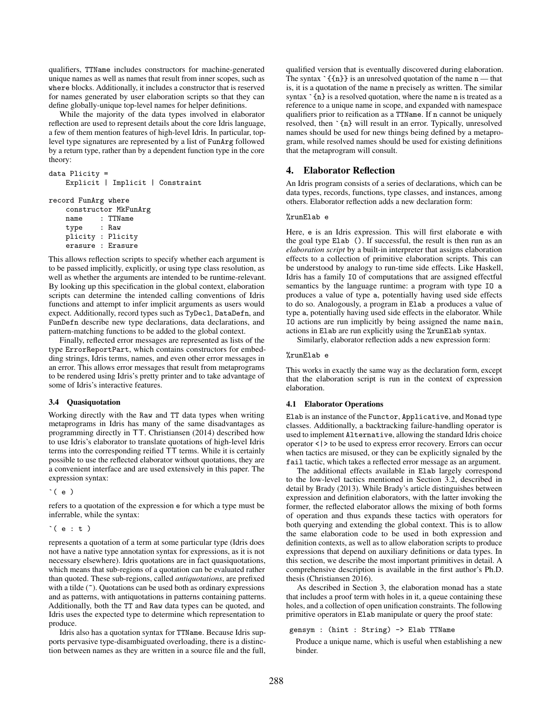qualifiers, TTName includes constructors for machine-generated unique names as well as names that result from inner scopes, such as where blocks. Additionally, it includes a constructor that is reserved for names generated by user elaboration scripts so that they can define globally-unique top-level names for helper definitions.

While the majority of the data types involved in elaborator reflection are used to represent details about the core Idris language, a few of them mention features of high-level Idris. In particular, toplevel type signatures are represented by a list of FunArg followed by a return type, rather than by a dependent function type in the core theory:

```
data Plicity =
   Explicit | Implicit | Constraint
```
record FunArg where

```
constructor MkFunArg
name : TTName
type : Raw
plicity : Plicity
erasure : Erasure
```
This allows reflection scripts to specify whether each argument is to be passed implicitly, explicitly, or using type class resolution, as well as whether the arguments are intended to be runtime-relevant. By looking up this specification in the global context, elaboration scripts can determine the intended calling conventions of Idris functions and attempt to infer implicit arguments as users would expect. Additionally, record types such as TyDecl, DataDefn, and FunDefn describe new type declarations, data declarations, and pattern-matching functions to be added to the global context.

Finally, reflected error messages are represented as lists of the type ErrorReportPart, which contains constructors for embedding strings, Idris terms, names, and even other error messages in an error. This allows error messages that result from metaprograms to be rendered using Idris's pretty printer and to take advantage of some of Idris's interactive features.

## 3.4 Quasiquotation

Working directly with the Raw and TT data types when writing metaprograms in Idris has many of the same disadvantages as programming directly in TT. Christiansen (2014) described how to use Idris's elaborator to translate quotations of high-level Idris terms into the corresponding reified TT terms. While it is certainly possible to use the reflected elaborator without quotations, they are a convenient interface and are used extensively in this paper. The expression syntax:

 $\hat{(\cdot)}$ 

refers to a quotation of the expression e for which a type must be inferrable, while the syntax:

```
`( e : t )
```
represents a quotation of a term at some particular type (Idris does not have a native type annotation syntax for expressions, as it is not necessary elsewhere). Idris quotations are in fact quasiquotations, which means that sub-regions of a quotation can be evaluated rather than quoted. These sub-regions, called *antiquotations*, are prefixed with a tilde ( $\tilde{\ }$ ). Quotations can be used both as ordinary expressions and as patterns, with antiquotations in patterns containing patterns. Additionally, both the TT and Raw data types can be quoted, and Idris uses the expected type to determine which representation to produce.

Idris also has a quotation syntax for TTName. Because Idris supports pervasive type-disambiguated overloading, there is a distinction between names as they are written in a source file and the full, qualified version that is eventually discovered during elaboration. The syntax  $\{n\}$  is an unresolved quotation of the name  $n$  — that is, it is a quotation of the name n precisely as written. The similar syntax  $\hat{a}$  is a resolved quotation, where the name n is treated as a reference to a unique name in scope, and expanded with namespace qualifiers prior to reification as a TTName. If n cannot be uniquely resolved, then `{n} will result in an error. Typically, unresolved names should be used for new things being defined by a metaprogram, while resolved names should be used for existing definitions that the metaprogram will consult.

## 4. Elaborator Reflection

An Idris program consists of a series of declarations, which can be data types, records, functions, type classes, and instances, among others. Elaborator reflection adds a new declaration form:

### %runElab e

Here, e is an Idris expression. This will first elaborate e with the goal type Elab (). If successful, the result is then run as an *elaboration script* by a built-in interpreter that assigns elaboration effects to a collection of primitive elaboration scripts. This can be understood by analogy to run-time side effects. Like Haskell, Idris has a family IO of computations that are assigned effectful semantics by the language runtime: a program with type IO a produces a value of type a, potentially having used side effects to do so. Analogously, a program in Elab a produces a value of type a, potentially having used side effects in the elaborator. While IO actions are run implicitly by being assigned the name main, actions in Elab are run explicitly using the %runElab syntax.

Similarly, elaborator reflection adds a new expression form:

#### %runElab e

This works in exactly the same way as the declaration form, except that the elaboration script is run in the context of expression elaboration.

#### 4.1 Elaborator Operations

Elab is an instance of the Functor, Applicative, and Monad type classes. Additionally, a backtracking failure-handling operator is used to implement Alternative, allowing the standard Idris choice operator <|> to be used to express error recovery. Errors can occur when tactics are misused, or they can be explicitly signaled by the fail tactic, which takes a reflected error message as an argument.

The additional effects available in Elab largely correspond to the low-level tactics mentioned in Section 3.2, described in detail by Brady (2013). While Brady's article distinguishes between expression and definition elaborators, with the latter invoking the former, the reflected elaborator allows the mixing of both forms of operation and thus expands these tactics with operators for both querying and extending the global context. This is to allow the same elaboration code to be used in both expression and definition contexts, as well as to allow elaboration scripts to produce expressions that depend on auxiliary definitions or data types. In this section, we describe the most important primitives in detail. A comprehensive description is available in the first author's Ph.D. thesis (Christiansen 2016).

As described in Section 3, the elaboration monad has a state that includes a proof term with holes in it, a queue containing these holes, and a collection of open unification constraints. The following primitive operators in Elab manipulate or query the proof state:

## gensym : (hint : String) -> Elab TTName

Produce a unique name, which is useful when establishing a new binder.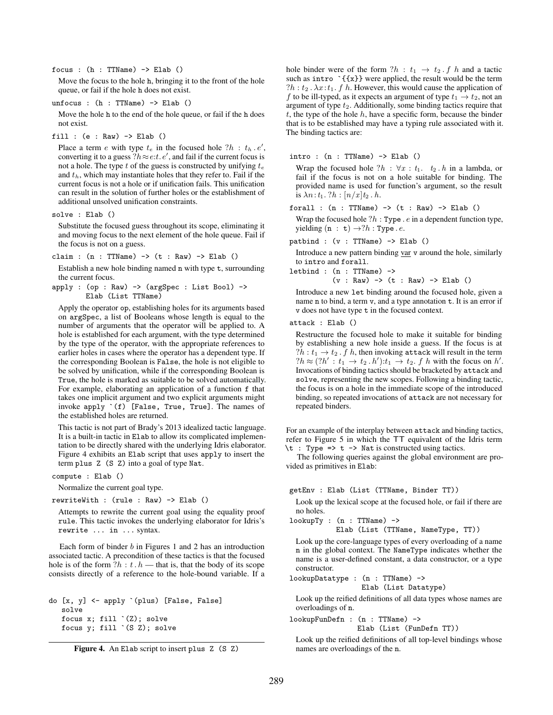focus : (h : TTName) -> Elab ()

Move the focus to the hole h, bringing it to the front of the hole queue, or fail if the hole h does not exist.

unfocus : (h : TTName) -> Elab ()

Move the hole h to the end of the hole queue, or fail if the h does not exist.

fill :  $(e : Raw) \rightarrow Elab()$ 

Place a term e with type  $t_e$  in the focused hole  $?h : t_h e',$ converting it to a guess  $?h \approx e:t$ .  $e'$ , and fail if the current focus is not a hole. The type t of the guess is constructed by unifying  $t_e$ and  $t<sub>h</sub>$ , which may instantiate holes that they refer to. Fail if the current focus is not a hole or if unification fails. This unification can result in the solution of further holes or the establishment of additional unsolved unification constraints.

solve : Elab ()

Substitute the focused guess throughout its scope, eliminating it and moving focus to the next element of the hole queue. Fail if the focus is not on a guess.

claim :  $(n : TName) \rightarrow (t : Raw) \rightarrow Elab ()$ 

Establish a new hole binding named n with type t, surrounding the current focus.

apply : (op : Raw) -> (argSpec : List Bool) -> Elab (List TTName)

Apply the operator op, establishing holes for its arguments based on argSpec, a list of Booleans whose length is equal to the number of arguments that the operator will be applied to. A hole is established for each argument, with the type determined by the type of the operator, with the appropriate references to earlier holes in cases where the operator has a dependent type. If the corresponding Boolean is False, the hole is not eligible to be solved by unification, while if the corresponding Boolean is True, the hole is marked as suitable to be solved automatically. For example, elaborating an application of a function f that takes one implicit argument and two explicit arguments might invoke apply `(f) [False, True, True]. The names of the established holes are returned.

This tactic is not part of Brady's 2013 idealized tactic language. It is a built-in tactic in Elab to allow its complicated implementation to be directly shared with the underlying Idris elaborator. Figure 4 exhibits an Elab script that uses apply to insert the term plus Z (S Z) into a goal of type Nat.

compute : Elab ()

Normalize the current goal type.

rewriteWith : (rule : Raw) -> Elab ()

Attempts to rewrite the current goal using the equality proof rule. This tactic invokes the underlying elaborator for Idris's rewrite ... in ... syntax.

Each form of binder  $b$  in Figures 1 and 2 has an introduction associated tactic. A precondition of these tactics is that the focused hole is of the form  $?h : t \cdot h$  — that is, that the body of its scope consists directly of a reference to the hole-bound variable. If a

```
do [x, y] <- apply `(plus) [False, False]
   solve
   focus x; fill (Z); solve
   focus y; fill `(S Z); solve
```
Figure 4. An Elab script to insert plus Z (S Z)

hole binder were of the form  $?h : t_1 \rightarrow t_2 . f h$  and a tactic such as intro  $\{x\}$  were applied, the result would be the term ?h :  $t_2$ .  $\lambda x$ :  $t_1$ .  $f$   $h$ . However, this would cause the application of f to be ill-typed, as it expects an argument of type  $t_1 \rightarrow t_2$ , not an argument of type  $t_2$ . Additionally, some binding tactics require that  $t$ , the type of the hole  $h$ , have a specific form, because the binder that is to be established may have a typing rule associated with it. The binding tactics are:

intro :  $(n : TName) \rightarrow Elab()$ 

Wrap the focused hole  $?h : \forall x : t_1, t_2, h$  in a lambda, or fail if the focus is not on a hole suitable for binding. The provided name is used for function's argument, so the result is  $\lambda n: t_1$ . ?h :  $\lceil n/x \rceil t_2$ .h.

forall :  $(n : TName) \rightarrow (t : Raw) \rightarrow Elab$  ()

Wrap the focused hole  $?h: Type \ . \ e \ in \ a \ dependent \ function \ type,$ yielding  $(n : t) \rightarrow ?h : Type \t{.} e$ .

patbind :  $(v : TName) \rightarrow Elab()$ 

Introduce a new pattern binding var v around the hole, similarly to intro and forall.

letbind : (n : TTName) ->

 $(v : Raw) \rightarrow (t : Raw) \rightarrow Elab ()$ 

Introduce a new let binding around the focused hole, given a name n to bind, a term v, and a type annotation t. It is an error if v does not have type t in the focused context.

attack : Elab ()

Restructure the focused hole to make it suitable for binding by establishing a new hole inside a guess. If the focus is at  $?h: t_1 \rightarrow t_2$ . f h, then invoking attack will result in the term  $?h \approx (?h' : t_1 \rightarrow t_2 \cdot h') : t_1 \rightarrow t_2 \cdot f h$  with the focus on h'. Invocations of binding tactics should be bracketed by attack and solve, representing the new scopes. Following a binding tactic, the focus is on a hole in the immediate scope of the introduced binding, so repeated invocations of attack are not necessary for repeated binders.

For an example of the interplay between attack and binding tactics, refer to Figure 5 in which the TT equivalent of the Idris term  $\setminus t$  : Type =>  $t \rightarrow$  Nat is constructed using tactics.

The following queries against the global environment are provided as primitives in Elab:

getEnv : Elab (List (TTName, Binder TT))

Look up the lexical scope at the focused hole, or fail if there are no holes.

lookupTy : (n : TTName) ->

Elab (List (TTName, NameType, TT))

Look up the core-language types of every overloading of a name n in the global context. The NameType indicates whether the name is a user-defined constant, a data constructor, or a type constructor.

lookupDatatype : (n : TTName) -> Elab (List Datatype)

Look up the reified definitions of all data types whose names are overloadings of n.

lookupFunDefn : (n : TTName) ->

Elab (List (FunDefn TT))

Look up the reified definitions of all top-level bindings whose names are overloadings of the n.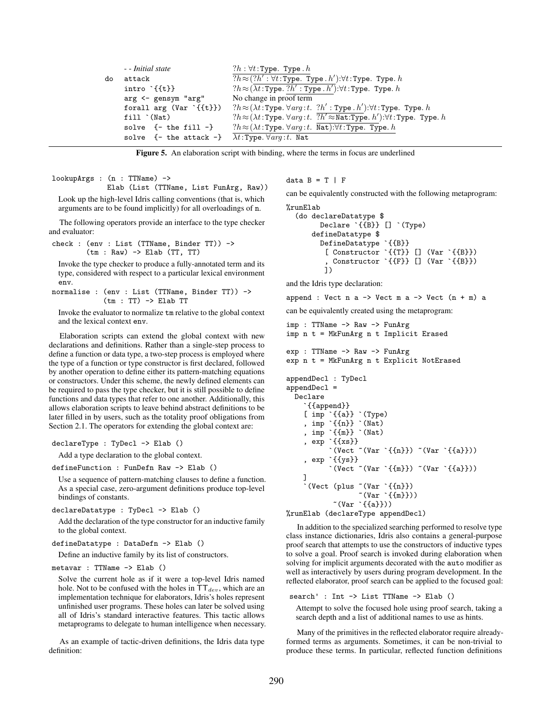|    | - - Initial state                                                  | $?h: \forall t$ : Type. Type. $h$                                                                                                                |
|----|--------------------------------------------------------------------|--------------------------------------------------------------------------------------------------------------------------------------------------|
| do | attack                                                             | $?h \approx (?h' : \forall t : \text{Type. Type. } h') : \forall t : \text{Type. Type. } h$                                                      |
|    | $intro$ $\{f\}$                                                    | $?h \approx (\overline{\lambda t} : \text{Type. } ?h' : \text{Type. } h').\forall t : \text{Type. } \text{Type. } h$                             |
|    | arg <- gensym "arg"                                                | No change in proof term                                                                                                                          |
|    | forall $arg (Var ^{f{t}})$                                         | $?h \approx (\lambda t \cdot \text{Type.} \forall arg \cdot t. ?h' : \text{Type.} h') : \forall t : \text{Type. Type.} h$                        |
|    | $fill$ $(Mat)$                                                     | $?h \approx (\lambda t \cdot \text{Type.} \forall arg \cdot t \cdot ?h' \approx \text{Nat:Type.} h') \cdot \forall t \cdot \text{Type. Type.} h$ |
|    | solve $\{-$ the fill $-\}$                                         | $?h \approx (\lambda t : \text{Type. } \forall arg : t. \text{ Nat}): \forall t : \text{Type. } \text{Type. } h$                                 |
|    | solve {- the attack -} $\lambda t$ : Type. $\forall arg : t$ . Nat |                                                                                                                                                  |

Figure 5. An elaboration script with binding, where the terms in focus are underlined

lookupArgs : (n : TTName) ->

Elab (List (TTName, List FunArg, Raw)) Look up the high-level Idris calling conventions (that is, which arguments are to be found implicitly) for all overloadings of n.

The following operators provide an interface to the type checker and evaluator:

check : (env : List (TTName, Binder TT)) -> (tm : Raw) -> Elab (TT, TT)

Invoke the type checker to produce a fully-annotated term and its type, considered with respect to a particular lexical environment env.

normalise : (env : List (TTName, Binder TT)) ->  $(tm : TT) \rightarrow Elab TT$ 

Invoke the evaluator to normalize tm relative to the global context and the lexical context env.

Elaboration scripts can extend the global context with new declarations and definitions. Rather than a single-step process to define a function or data type, a two-step process is employed where the type of a function or type constructor is first declared, followed by another operation to define either its pattern-matching equations or constructors. Under this scheme, the newly defined elements can be required to pass the type checker, but it is still possible to define functions and data types that refer to one another. Additionally, this allows elaboration scripts to leave behind abstract definitions to be later filled in by users, such as the totality proof obligations from Section 2.1. The operators for extending the global context are:

declareType : TyDecl -> Elab ()

Add a type declaration to the global context.

defineFunction : FunDefn Raw -> Elab ()

Use a sequence of pattern-matching clauses to define a function. As a special case, zero-argument definitions produce top-level bindings of constants.

declareDatatype : TyDecl -> Elab ()

Add the declaration of the type constructor for an inductive family to the global context.

```
defineDatatype : DataDefn -> Elab ()
```
Define an inductive family by its list of constructors.

```
metavar : TTName -> Elab ()
```
Solve the current hole as if it were a top-level Idris named hole. Not to be confused with the holes in  $TT_{dev}$ , which are an implementation technique for elaborators, Idris's holes represent unfinished user programs. These holes can later be solved using all of Idris's standard interactive features. This tactic allows metaprograms to delegate to human intelligence when necessary.

As an example of tactic-driven definitions, the Idris data type definition:

data  $B = T | F$ 

can be equivalently constructed with the following metaprogram:

```
%runElab
  (do declareDatatype $
        Declare `{{B}} [] `(Type)
      defineDatatype $
         DefineDatatype `{{B}}
          [ Constructor `{\{T\}} [ (Var {\{B\}})Constructor \{F\} [] (Var \{B\})
         \bigg(1\bigg)
```
and the Idris type declaration:

```
append : Vect n a \rightarrow Vect m a \rightarrow Vect (n + m) a
```
can be equivalently created using the metaprogram:

imp : TTName -> Raw -> FunArg imp n t = MkFunArg n t Implicit Erased

```
exp : TTName -> Raw -> FunArg
exp n t = MkFunArg n t Explicit NotErased
```

```
appendDecl : TyDecl
appendDecl =
  Declare
      `{{append}}
     [ imp \{a\} \check{ } (Type)
     , imp `{{n}} `(Nat)
     , imp `{{m}} `(Nat)
       , exp `{{xs}}
            \check{ } (Vect "(Var \check{ }{{n}}) "(Var \check{ }{{a}}))
     , exp `{{ys}}
            `(Vect ~(Var `{{m}}) ~(Var `{{a}}))
    ]
     \check{\ } (Vect (plus "(Var \check{\ }{{n}})
                      ((Var ^{(m)}))*(Var \{a\})%runElab (declareType appendDecl)
```
In addition to the specialized searching performed to resolve type class instance dictionaries, Idris also contains a general-purpose proof search that attempts to use the constructors of inductive types to solve a goal. Proof search is invoked during elaboration when solving for implicit arguments decorated with the auto modifier as well as interactively by users during program development. In the reflected elaborator, proof search can be applied to the focused goal:

```
search' : Int -> List TTName -> Elab ()
```
Attempt to solve the focused hole using proof search, taking a search depth and a list of additional names to use as hints.

Many of the primitives in the reflected elaborator require alreadyformed terms as arguments. Sometimes, it can be non-trivial to produce these terms. In particular, reflected function definitions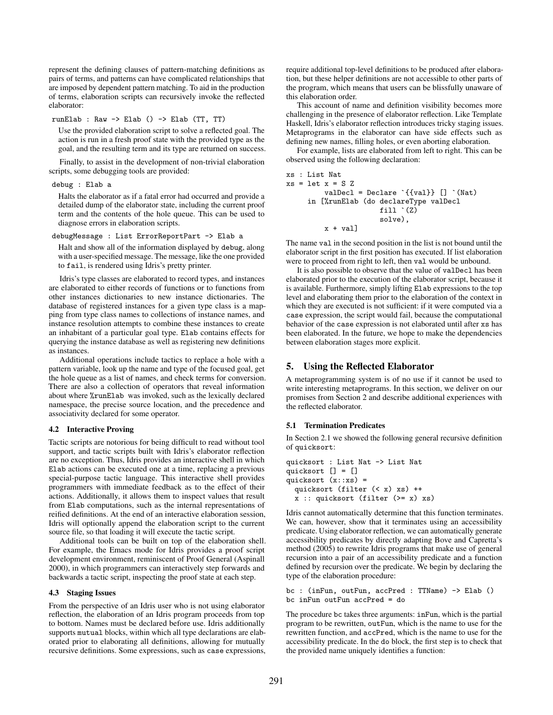represent the defining clauses of pattern-matching definitions as pairs of terms, and patterns can have complicated relationships that are imposed by dependent pattern matching. To aid in the production of terms, elaboration scripts can recursively invoke the reflected elaborator:

runElab : Raw -> Elab () -> Elab (TT, TT)

Use the provided elaboration script to solve a reflected goal. The action is run in a fresh proof state with the provided type as the goal, and the resulting term and its type are returned on success.

Finally, to assist in the development of non-trivial elaboration scripts, some debugging tools are provided:

```
debug : Elab a
```
Halts the elaborator as if a fatal error had occurred and provide a detailed dump of the elaborator state, including the current proof term and the contents of the hole queue. This can be used to diagnose errors in elaboration scripts.

debugMessage : List ErrorReportPart -> Elab a

Halt and show all of the information displayed by debug, along with a user-specified message. The message, like the one provided to fail, is rendered using Idris's pretty printer.

Idris's type classes are elaborated to record types, and instances are elaborated to either records of functions or to functions from other instances dictionaries to new instance dictionaries. The database of registered instances for a given type class is a mapping from type class names to collections of instance names, and instance resolution attempts to combine these instances to create an inhabitant of a particular goal type. Elab contains effects for querying the instance database as well as registering new definitions as instances.

Additional operations include tactics to replace a hole with a pattern variable, look up the name and type of the focused goal, get the hole queue as a list of names, and check terms for conversion. There are also a collection of operators that reveal information about where %runElab was invoked, such as the lexically declared namespace, the precise source location, and the precedence and associativity declared for some operator.

#### 4.2 Interactive Proving

Tactic scripts are notorious for being difficult to read without tool support, and tactic scripts built with Idris's elaborator reflection are no exception. Thus, Idris provides an interactive shell in which Elab actions can be executed one at a time, replacing a previous special-purpose tactic language. This interactive shell provides programmers with immediate feedback as to the effect of their actions. Additionally, it allows them to inspect values that result from Elab computations, such as the internal representations of reified definitions. At the end of an interactive elaboration session, Idris will optionally append the elaboration script to the current source file, so that loading it will execute the tactic script.

Additional tools can be built on top of the elaboration shell. For example, the Emacs mode for Idris provides a proof script development environment, reminiscent of Proof General (Aspinall 2000), in which programmers can interactively step forwards and backwards a tactic script, inspecting the proof state at each step.

#### 4.3 Staging Issues

From the perspective of an Idris user who is not using elaborator reflection, the elaboration of an Idris program proceeds from top to bottom. Names must be declared before use. Idris additionally supports mutual blocks, within which all type declarations are elaborated prior to elaborating all definitions, allowing for mutually recursive definitions. Some expressions, such as case expressions, require additional top-level definitions to be produced after elaboration, but these helper definitions are not accessible to other parts of the program, which means that users can be blissfully unaware of this elaboration order.

This account of name and definition visibility becomes more challenging in the presence of elaborator reflection. Like Template Haskell, Idris's elaborator reflection introduces tricky staging issues. Metaprograms in the elaborator can have side effects such as defining new names, filling holes, or even aborting elaboration.

For example, lists are elaborated from left to right. This can be observed using the following declaration:

```
xs : List Nat
xs = let x = S ZvalDecl = Declare \{ \{ \text{val} \} \} [] \hat{N} (Nat)
      in [%runElab (do declareType valDecl
                           fill \dot{C}(Z)solve),
           x + val]
```
The name val in the second position in the list is not bound until the elaborator script in the first position has executed. If list elaboration were to proceed from right to left, then val would be unbound.

It is also possible to observe that the value of valDecl has been elaborated prior to the execution of the elaborator script, because it is available. Furthermore, simply lifting Elab expressions to the top level and elaborating them prior to the elaboration of the context in which they are executed is not sufficient: if it were computed via a case expression, the script would fail, because the computational behavior of the case expression is not elaborated until after xs has been elaborated. In the future, we hope to make the dependencies between elaboration stages more explicit.

## 5. Using the Reflected Elaborator

A metaprogramming system is of no use if it cannot be used to write interesting metaprograms. In this section, we deliver on our promises from Section 2 and describe additional experiences with the reflected elaborator.

## 5.1 Termination Predicates

In Section 2.1 we showed the following general recursive definition of quicksort:

```
quicksort : List Nat -> List Nat
quicksort [] = []
quicksort (x::xs) =
 quicksort (filter (< x) xs) ++
 x :: quicksort (filter (>= x) xs)
```
Idris cannot automatically determine that this function terminates. We can, however, show that it terminates using an accessibility predicate. Using elaborator reflection, we can automatically generate accessibility predicates by directly adapting Bove and Capretta's method (2005) to rewrite Idris programs that make use of general recursion into a pair of an accessibility predicate and a function defined by recursion over the predicate. We begin by declaring the type of the elaboration procedure:

```
bc : (inFun, outFun, accPred : TTName) -> Elab ()
bc inFun outFun accPred = do
```
The procedure bc takes three arguments: inFun, which is the partial program to be rewritten, outFun, which is the name to use for the rewritten function, and accPred, which is the name to use for the accessibility predicate. In the do block, the first step is to check that the provided name uniquely identifies a function: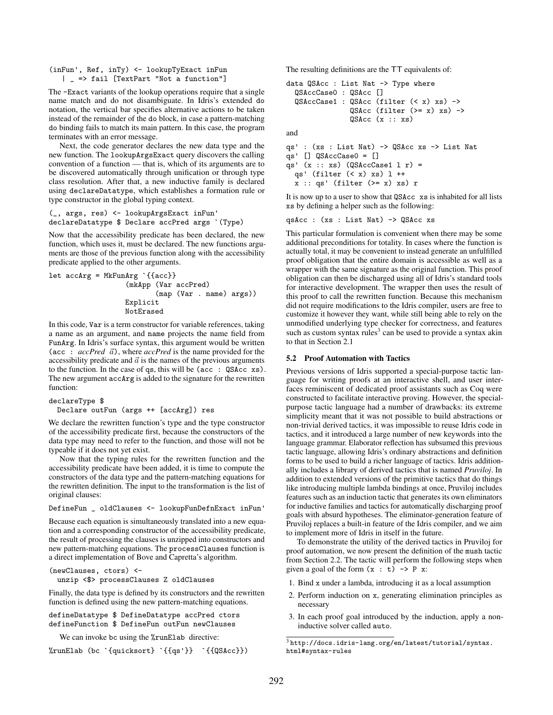(inFun', Ref, inTy) <- lookupTyExact inFun | \_ => fail [TextPart "Not a function"]

The -Exact variants of the lookup operations require that a single name match and do not disambiguate. In Idris's extended do notation, the vertical bar specifies alternative actions to be taken instead of the remainder of the do block, in case a pattern-matching do binding fails to match its main pattern. In this case, the program terminates with an error message.

Next, the code generator declares the new data type and the new function. The lookupArgsExact query discovers the calling convention of a function — that is, which of its arguments are to be discovered automatically through unification or through type class resolution. After that, a new inductive family is declared using declareDatatype, which establishes a formation rule or type constructor in the global typing context.

(\_, args, res) <- lookupArgsExact inFun' declareDatatype \$ Declare accPred args `(Type)

Now that the accessibility predicate has been declared, the new function, which uses it, must be declared. The new functions arguments are those of the previous function along with the accessibility predicate applied to the other arguments.

```
let accArg = MkFunArg `{{acc}}
                  (mkApp (Var accPred)
                          (map (Var . name) args))
                  Explicit
                  NotErased
```
In this code, Var is a term constructor for variable references, taking a name as an argument, and name projects the name field from FunArg. In Idris's surface syntax, this argument would be written (acc :  $accPred \vec{a}$ ), where  $accPred$  is the name provided for the accessibility predicate and  $\vec{a}$  is the names of the previous arguments to the function. In the case of qs, this will be (acc : QSAcc xs). The new argument accArg is added to the signature for the rewritten function:

```
declareType $
 Declare outFun (args ++ [accArg]) res
```
We declare the rewritten function's type and the type constructor of the accessibility predicate first, because the constructors of the data type may need to refer to the function, and those will not be typeable if it does not yet exist.

Now that the typing rules for the rewritten function and the accessibility predicate have been added, it is time to compute the constructors of the data type and the pattern-matching equations for the rewritten definition. The input to the transformation is the list of original clauses:

```
DefineFun _ oldClauses <- lookupFunDefnExact inFun'
```
Because each equation is simultaneously translated into a new equation and a corresponding constructor of the accessibility predicate, the result of processing the clauses is unzipped into constructors and new pattern-matching equations. The processClauses function is a direct implementation of Bove and Capretta's algorithm.

```
(newClauses, ctors) <-
 unzip <$> processClauses Z oldClauses
```
Finally, the data type is defined by its constructors and the rewritten function is defined using the new pattern-matching equations.

```
defineDatatype $ DefineDatatype accPred ctors
defineFunction $ DefineFun outFun newClauses
```
We can invoke bc using the *\**runElab directive:

%runElab (bc `{quicksort} `{{qs'}} `{{QSAcc}})

The resulting definitions are the TT equivalents of:

```
data QSAcc : List Nat -> Type where
  QSAccCase0 : QSAcc []
  QSAccCase1 : QSAcc (filter (< x) xs) ->
               QSAcc (filter (>= x) xs) ->
               QSAcc(x :: xs)
```
and

```
qs' : (xs : List Nat) -> QSAcc xs -> List Nat
qs' [] QSAccCase0 = []
qs' (x :: xs) (QSAccCase1 l r) =
  qs' (filter (< x) xs) l ++
  x :: qs' (filter (>= x) xs) r
```
It is now up to a user to show that QSAcc xs is inhabited for all lists xs by defining a helper such as the following:

qsAcc : (xs : List Nat) -> QSAcc xs

This particular formulation is convenient when there may be some additional preconditions for totality. In cases where the function is actually total, it may be convenient to instead generate an unfulfilled proof obligation that the entire domain is accessible as well as a wrapper with the same signature as the original function. This proof obligation can then be discharged using all of Idris's standard tools for interactive development. The wrapper then uses the result of this proof to call the rewritten function. Because this mechanism did not require modifications to the Idris compiler, users are free to customize it however they want, while still being able to rely on the unmodified underlying type checker for correctness, and features such as custom syntax rules $3$  can be used to provide a syntax akin to that in Section 2.1

#### 5.2 Proof Automation with Tactics

Previous versions of Idris supported a special-purpose tactic language for writing proofs at an interactive shell, and user interfaces reminiscent of dedicated proof assistants such as Coq were constructed to facilitate interactive proving. However, the specialpurpose tactic language had a number of drawbacks: its extreme simplicity meant that it was not possible to build abstractions or non-trivial derived tactics, it was impossible to reuse Idris code in tactics, and it introduced a large number of new keywords into the language grammar. Elaborator reflection has subsumed this previous tactic language, allowing Idris's ordinary abstractions and definition forms to be used to build a richer language of tactics. Idris additionally includes a library of derived tactics that is named *Pruviloj*. In addition to extended versions of the primitive tactics that do things like introducing multiple lambda bindings at once, Pruviloj includes features such as an induction tactic that generates its own eliminators for inductive families and tactics for automatically discharging proof goals with absurd hypotheses. The eliminator-generation feature of Pruviloj replaces a built-in feature of the Idris compiler, and we aim to implement more of Idris in itself in the future.

To demonstrate the utility of the derived tactics in Pruviloj for proof automation, we now present the definition of the mush tactic from Section 2.2. The tactic will perform the following steps when given a goal of the form  $(x : t) \rightarrow P x$ :

- 1. Bind x under a lambda, introducing it as a local assumption
- 2. Perform induction on x, generating elimination principles as necessary
- 3. In each proof goal introduced by the induction, apply a noninductive solver called auto.

 $3$ http://docs.idris-lang.org/en/latest/tutorial/syntax. html#syntax-rules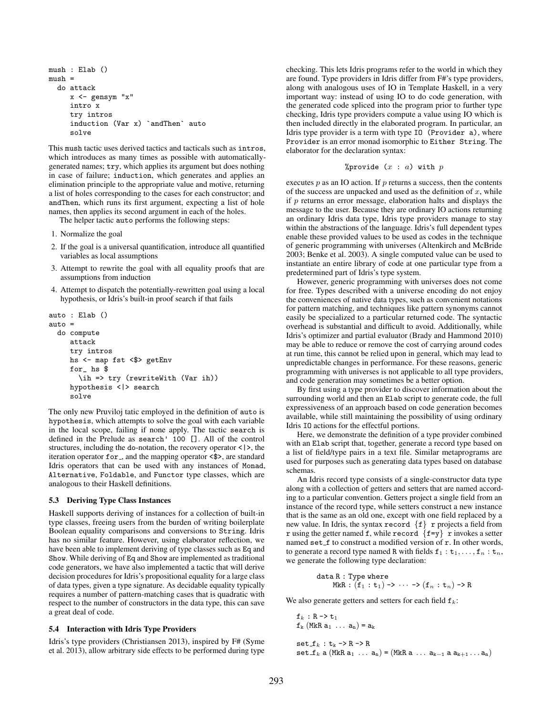```
mush : Elab ()
mush =do attack
    x <- gensym "x"
     intro x
     try intros
     induction (Var x) `andThen` auto
     solve
```
This mush tactic uses derived tactics and tacticals such as intros, which introduces as many times as possible with automaticallygenerated names; try, which applies its argument but does nothing in case of failure; induction, which generates and applies an elimination principle to the appropriate value and motive, returning a list of holes corresponding to the cases for each constructor; and andThen, which runs its first argument, expecting a list of hole names, then applies its second argument in each of the holes.

The helper tactic auto performs the following steps:

- 1. Normalize the goal
- 2. If the goal is a universal quantification, introduce all quantified variables as local assumptions
- 3. Attempt to rewrite the goal with all equality proofs that are assumptions from induction
- 4. Attempt to dispatch the potentially-rewritten goal using a local hypothesis, or Idris's built-in proof search if that fails

```
auto : Elab ()
auto =
  do compute
     attack
     try intros
     hs <- map fst <$> getEnv
     for_ hs $
       \ih => try (rewriteWith (Var ih))
     hypothesis <|> search
     solve
```
The only new Pruviloj tatic employed in the definition of auto is hypothesis, which attempts to solve the goal with each variable in the local scope, failing if none apply. The tactic search is defined in the Prelude as search' 100 []. All of the control structures, including the do-notation, the recovery operator  $\langle \rangle$ , the iteration operator for , and the mapping operator <\$>, are standard Idris operators that can be used with any instances of Monad, Alternative, Foldable, and Functor type classes, which are analogous to their Haskell definitions.

#### 5.3 Deriving Type Class Instances

Haskell supports deriving of instances for a collection of built-in type classes, freeing users from the burden of writing boilerplate Boolean equality comparisons and conversions to String. Idris has no similar feature. However, using elaborator reflection, we have been able to implement deriving of type classes such as Eq and Show. While deriving of Eq and Show are implemented as traditional code generators, we have also implemented a tactic that will derive decision procedures for Idris's propositional equality for a large class of data types, given a type signature. As decidable equality typically requires a number of pattern-matching cases that is quadratic with respect to the number of constructors in the data type, this can save a great deal of code.

#### 5.4 Interaction with Idris Type Providers

Idris's type providers (Christiansen 2013), inspired by F# (Syme et al. 2013), allow arbitrary side effects to be performed during type checking. This lets Idris programs refer to the world in which they are found. Type providers in Idris differ from F#'s type providers, along with analogous uses of IO in Template Haskell, in a very important way: instead of using IO to do code generation, with the generated code spliced into the program prior to further type checking, Idris type providers compute a value using IO which is then included directly in the elaborated program. In particular, an Idris type provider is a term with type IO (Provider a), where Provider is an error monad isomorphic to Either String. The elaborator for the declaration syntax:

#### %provide  $(x : a)$  with  $p$

executes  $p$  as an IO action. If  $p$  returns a success, then the contents of the success are unpacked and used as the definition of  $x$ , while if p returns an error message, elaboration halts and displays the message to the user. Because they are ordinary IO actions returning an ordinary Idris data type, Idris type providers manage to stay within the abstractions of the language. Idris's full dependent types enable these provided values to be used as codes in the technique of generic programming with universes (Altenkirch and McBride 2003; Benke et al. 2003). A single computed value can be used to instantiate an entire library of code at one particular type from a predetermined part of Idris's type system.

However, generic programming with universes does not come for free. Types described with a universe encoding do not enjoy the conveniences of native data types, such as convenient notations for pattern matching, and techniques like pattern synonyms cannot easily be specialized to a particular returned code. The syntactic overhead is substantial and difficult to avoid. Additionally, while Idris's optimizer and partial evaluator (Brady and Hammond 2010) may be able to reduce or remove the cost of carrying around codes at run time, this cannot be relied upon in general, which may lead to unpredictable changes in performance. For these reasons, generic programming with universes is not applicable to all type providers, and code generation may sometimes be a better option.

By first using a type provider to discover information about the surrounding world and then an Elab script to generate code, the full expressiveness of an approach based on code generation becomes available, while still maintaining the possibility of using ordinary Idris IO actions for the effectful portions.

Here, we demonstrate the definition of a type provider combined with an Elab script that, together, generate a record type based on a list of field/type pairs in a text file. Similar metaprograms are used for purposes such as generating data types based on database schemas.

An Idris record type consists of a single-constructor data type along with a collection of getters and setters that are named according to a particular convention. Getters project a single field from an instance of the record type, while setters construct a new instance that is the same as an old one, except with one field replaced by a new value. In Idris, the syntax record  $\{f\}$  r projects a field from r using the getter named f, while record  $\{f=y\}$  r invokes a setter named set f to construct a modified version of r. In other words, to generate a record type named R with fields  $f_1 : t_1, \ldots, f_n : t_n$ , we generate the following type declaration:

data R : Type where  
MKR : 
$$
(f_1 : t_1) \rightarrow \cdots \rightarrow (f_n : t_n) \rightarrow R
$$

We also generate getters and setters for each field  $f_k$ :

```
f_k : R -> t_1f_k (MkR a_1 ... a_n) = a_k\texttt{set\_f}_k : t_k \rightarrow R \rightarrow R\texttt{set\_f}_k a (MkR a_1 ... a_n) = (MkR a ... a_{k-1} a a_{k+1} ... a_n)
```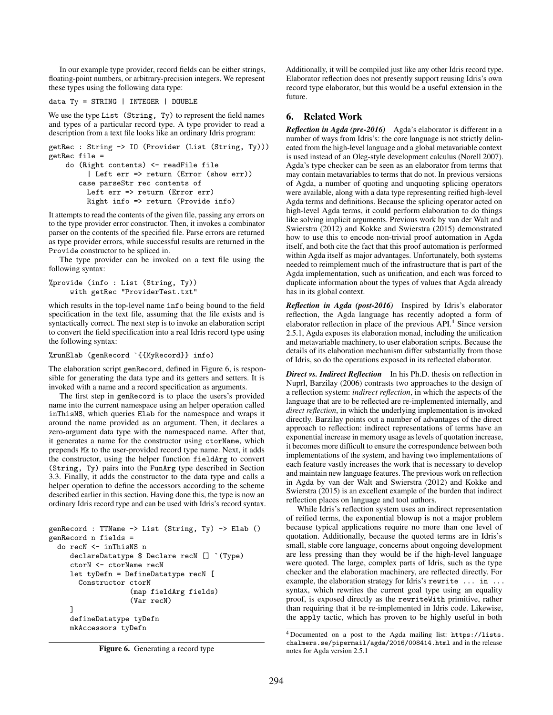In our example type provider, record fields can be either strings, floating-point numbers, or arbitrary-precision integers. We represent these types using the following data type:

```
data Ty = STRING | INTEGER | DOUBLE
```
We use the type List (String, Ty) to represent the field names and types of a particular record type. A type provider to read a description from a text file looks like an ordinary Idris program:

getRec : String -> IO (Provider (List (String, Ty))) getRec file =

```
do (Right contents) <- readFile file
     | Left err => return (Error (show err))
   case parseStr rec contents of
     Left err => return (Error err)
     Right info => return (Provide info)
```
It attempts to read the contents of the given file, passing any errors on to the type provider error constructor. Then, it invokes a combinator parser on the contents of the specified file. Parse errors are returned as type provider errors, while successful results are returned in the Provide constructor to be spliced in.

The type provider can be invoked on a text file using the following syntax:

```
%provide (info : List (String, Ty))
     with getRec "ProviderTest.txt"
```
which results in the top-level name info being bound to the field specification in the text file, assuming that the file exists and is syntactically correct. The next step is to invoke an elaboration script to convert the field specification into a real Idris record type using the following syntax:

```
%runElab (genRecord `{{MyRecord}} info)
```
The elaboration script genRecord, defined in Figure 6, is responsible for generating the data type and its getters and setters. It is invoked with a name and a record specification as arguments.

The first step in genRecord is to place the users's provided name into the current namespace using an helper operation called inThisNS, which queries Elab for the namespace and wraps it around the name provided as an argument. Then, it declares a zero-argument data type with the namespaced name. After that, it generates a name for the constructor using ctorName, which prepends Mk to the user-provided record type name. Next, it adds the constructor, using the helper function fieldArg to convert (String, Ty) pairs into the FunArg type described in Section 3.3. Finally, it adds the constructor to the data type and calls a helper operation to define the accessors according to the scheme described earlier in this section. Having done this, the type is now an ordinary Idris record type and can be used with Idris's record syntax.

```
genRecord : TTName -> List (String, Ty) -> Elab ()
genRecord n fields =
  do recN <- inThisNS n
     declareDatatype $ Declare recN [] `(Type)
     ctorN <- ctorName recN
     let tyDefn = DefineDatatype recN [
       Constructor ctorN
                   (map fieldArg fields)
                   (Var recN)
     ]
     defineDatatype tyDefn
     mkAccessors tyDefn
```

```
Figure 6. Generating a record type
```
Additionally, it will be compiled just like any other Idris record type. Elaborator reflection does not presently support reusing Idris's own record type elaborator, but this would be a useful extension in the future.

# 6. Related Work

*Reflection in Agda (pre-2016)* Agda's elaborator is different in a number of ways from Idris's: the core language is not strictly delineated from the high-level language and a global metavariable context is used instead of an Oleg-style development calculus (Norell 2007). Agda's type checker can be seen as an elaborator from terms that may contain metavariables to terms that do not. In previous versions of Agda, a number of quoting and unquoting splicing operators were available, along with a data type representing reified high-level Agda terms and definitions. Because the splicing operator acted on high-level Agda terms, it could perform elaboration to do things like solving implicit arguments. Previous work by van der Walt and Swierstra (2012) and Kokke and Swierstra (2015) demonstrated how to use this to encode non-trivial proof automation in Agda itself, and both cite the fact that this proof automation is performed within Agda itself as major advantages. Unfortunately, both systems needed to reimplement much of the infrastructure that is part of the Agda implementation, such as unification, and each was forced to duplicate information about the types of values that Agda already has in its global context.

*Reflection in Agda (post-2016)* Inspired by Idris's elaborator reflection, the Agda language has recently adopted a form of elaborator reflection in place of the previous API.<sup>4</sup> Since version 2.5.1, Agda exposes its elaboration monad, including the unification and metavariable machinery, to user elaboration scripts. Because the details of its elaboration mechanism differ substantially from those of Idris, so do the operations exposed in its reflected elaborator.

*Direct vs. Indirect Reflection* In his Ph.D. thesis on reflection in Nuprl, Barzilay (2006) contrasts two approaches to the design of a reflection system: *indirect reflection*, in which the aspects of the language that are to be reflected are re-implemented internally, and *direct reflection*, in which the underlying implementation is invoked directly. Barzilay points out a number of advantages of the direct approach to reflection: indirect representations of terms have an exponential increase in memory usage as levels of quotation increase, it becomes more difficult to ensure the correspondence between both implementations of the system, and having two implementations of each feature vastly increases the work that is necessary to develop and maintain new language features. The previous work on reflection in Agda by van der Walt and Swierstra (2012) and Kokke and Swierstra (2015) is an excellent example of the burden that indirect reflection places on language and tool authors.

While Idris's reflection system uses an indirect representation of reified terms, the exponential blowup is not a major problem because typical applications require no more than one level of quotation. Additionally, because the quoted terms are in Idris's small, stable core language, concerns about ongoing development are less pressing than they would be if the high-level language were quoted. The large, complex parts of Idris, such as the type checker and the elaboration machinery, are reflected directly. For example, the elaboration strategy for Idris's rewrite ... in ... syntax, which rewrites the current goal type using an equality proof, is exposed directly as the rewriteWith primitive, rather than requiring that it be re-implemented in Idris code. Likewise, the apply tactic, which has proven to be highly useful in both

<sup>4</sup> Documented on a post to the Agda mailing list: https://lists. chalmers.se/pipermail/agda/2016/008414.html and in the release notes for Agda version 2.5.1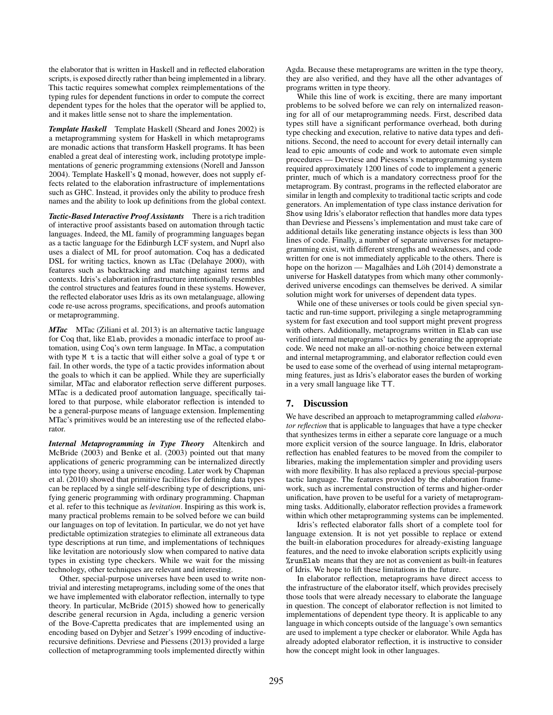the elaborator that is written in Haskell and in reflected elaboration scripts, is exposed directly rather than being implemented in a library. This tactic requires somewhat complex reimplementations of the typing rules for dependent functions in order to compute the correct dependent types for the holes that the operator will be applied to, and it makes little sense not to share the implementation.

*Template Haskell* Template Haskell (Sheard and Jones 2002) is a metaprogramming system for Haskell in which metaprograms are monadic actions that transform Haskell programs. It has been enabled a great deal of interesting work, including prototype implementations of generic programming extensions (Norell and Jansson 2004). Template Haskell's Q monad, however, does not supply effects related to the elaboration infrastructure of implementations such as GHC. Instead, it provides only the ability to produce fresh names and the ability to look up definitions from the global context.

*Tactic-Based Interactive Proof Assistants* There is a rich tradition of interactive proof assistants based on automation through tactic languages. Indeed, the ML family of programming languages began as a tactic language for the Edinburgh LCF system, and Nuprl also uses a dialect of ML for proof automation. Coq has a dedicated DSL for writing tactics, known as LTac (Delahaye 2000), with features such as backtracking and matching against terms and contexts. Idris's elaboration infrastructure intentionally resembles the control structures and features found in these systems. However, the reflected elaborator uses Idris as its own metalanguage, allowing code re-use across programs, specifications, and proofs automation or metaprogramming.

*MTac* MTac (Ziliani et al. 2013) is an alternative tactic language for Coq that, like Elab, provides a monadic interface to proof automation, using Coq's own term language. In MTac, a computation with type M t is a tactic that will either solve a goal of type t or fail. In other words, the type of a tactic provides information about the goals to which it can be applied. While they are superficially similar, MTac and elaborator reflection serve different purposes. MTac is a dedicated proof automation language, specifically tailored to that purpose, while elaborator reflection is intended to be a general-purpose means of language extension. Implementing MTac's primitives would be an interesting use of the reflected elaborator.

*Internal Metaprogramming in Type Theory* Altenkirch and McBride (2003) and Benke et al. (2003) pointed out that many applications of generic programming can be internalized directly into type theory, using a universe encoding. Later work by Chapman et al. (2010) showed that primitive facilities for defining data types can be replaced by a single self-describing type of descriptions, unifying generic programming with ordinary programming. Chapman et al. refer to this technique as *levitation*. Inspiring as this work is, many practical problems remain to be solved before we can build our languages on top of levitation. In particular, we do not yet have predictable optimization strategies to eliminate all extraneous data type descriptions at run time, and implementations of techniques like levitation are notoriously slow when compared to native data types in existing type checkers. While we wait for the missing technology, other techniques are relevant and interesting.

Other, special-purpose universes have been used to write nontrivial and interesting metaprograms, including some of the ones that we have implemented with elaborator reflection, internally to type theory. In particular, McBride (2015) showed how to generically describe general recursion in Agda, including a generic version of the Bove-Capretta predicates that are implemented using an encoding based on Dybjer and Setzer's 1999 encoding of inductiverecursive definitions. Devriese and Piessens (2013) provided a large collection of metaprogramming tools implemented directly within Agda. Because these metaprograms are written in the type theory, they are also verified, and they have all the other advantages of programs written in type theory.

While this line of work is exciting, there are many important problems to be solved before we can rely on internalized reasoning for all of our metaprogramming needs. First, described data types still have a significant performance overhead, both during type checking and execution, relative to native data types and definitions. Second, the need to account for every detail internally can lead to epic amounts of code and work to automate even simple procedures — Devriese and Piessens's metaprogramming system required approximately 1200 lines of code to implement a generic printer, much of which is a mandatory correctness proof for the metaprogram. By contrast, programs in the reflected elaborator are similar in length and complexity to traditional tactic scripts and code generators. An implementation of type class instance derivation for Show using Idris's elaborator reflection that handles more data types than Devriese and Piessens's implementation and must take care of additional details like generating instance objects is less than 300 lines of code. Finally, a number of separate universes for metaprogramming exist, with different strengths and weaknesses, and code written for one is not immediately applicable to the others. There is hope on the horizon — Magalhães and Löh (2014) demonstrate a universe for Haskell datatypes from which many other commonlyderived universe encodings can themselves be derived. A similar solution might work for universes of dependent data types.

While one of these universes or tools could be given special syntactic and run-time support, privileging a single metaprogramming system for fast execution and tool support might prevent progress with others. Additionally, metaprograms written in Elab can use verified internal metaprograms' tactics by generating the appropriate code. We need not make an all-or-nothing choice between external and internal metaprogramming, and elaborator reflection could even be used to ease some of the overhead of using internal metaprogramming features, just as Idris's elaborator eases the burden of working in a very small language like TT.

## 7. Discussion

We have described an approach to metaprogramming called *elaborator reflection* that is applicable to languages that have a type checker that synthesizes terms in either a separate core language or a much more explicit version of the source language. In Idris, elaborator reflection has enabled features to be moved from the compiler to libraries, making the implementation simpler and providing users with more flexibility. It has also replaced a previous special-purpose tactic language. The features provided by the elaboration framework, such as incremental construction of terms and higher-order unification, have proven to be useful for a variety of metaprogramming tasks. Additionally, elaborator reflection provides a framework within which other metaprogramming systems can be implemented.

Idris's reflected elaborator falls short of a complete tool for language extension. It is not yet possible to replace or extend the built-in elaboration procedures for already-existing language features, and the need to invoke elaboration scripts explicitly using %runElab means that they are not as convenient as built-in features of Idris. We hope to lift these limitations in the future.

In elaborator reflection, metaprograms have direct access to the infrastructure of the elaborator itself, which provides precisely those tools that were already necessary to elaborate the language in question. The concept of elaborator reflection is not limited to implementations of dependent type theory. It is applicable to any language in which concepts outside of the language's own semantics are used to implement a type checker or elaborator. While Agda has already adopted elaborator reflection, it is instructive to consider how the concept might look in other languages.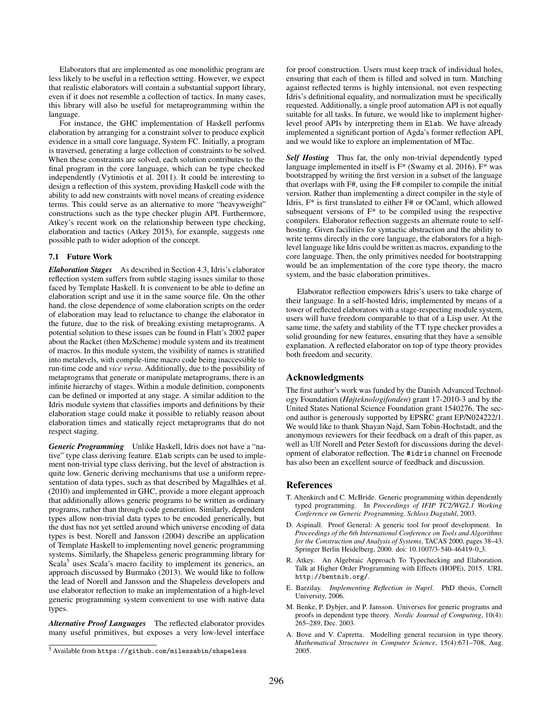Elaborators that are implemented as one monolithic program are less likely to be useful in a reflection setting. However, we expect that realistic elaborators will contain a substantial support library, even if it does not resemble a collection of tactics. In many cases, this library will also be useful for metaprogramming within the language.

For instance, the GHC implementation of Haskell performs elaboration by arranging for a constraint solver to produce explicit evidence in a small core language, System FC. Initially, a program is traversed, generating a large collection of constraints to be solved. When these constraints are solved, each solution contributes to the final program in the core language, which can be type checked independently (Vytiniotis et al. 2011). It could be interesting to design a reflection of this system, providing Haskell code with the ability to add new constraints with novel means of creating evidence terms. This could serve as an alternative to more "heavyweight" constructions such as the type checker plugin API. Furthermore, Atkey's recent work on the relationship between type checking, elaboration and tactics (Atkey 2015), for example, suggests one possible path to wider adoption of the concept.

#### 7.1 Future Work

*Elaboration Stages* As described in Section 4.3, Idris's elaborator reflection system suffers from subtle staging issues similar to those faced by Template Haskell. It is convenient to be able to define an elaboration script and use it in the same source file. On the other hand, the close dependence of some elaboration scripts on the order of elaboration may lead to reluctance to change the elaborator in the future, due to the risk of breaking existing metaprograms. A potential solution to these issues can be found in Flatt's 2002 paper about the Racket (then MzScheme) module system and its treatment of macros. In this module system, the visibility of names is stratified into metalevels, with compile-time macro code being inaccessible to run-time code and *vice versa*. Additionally, due to the possibility of metaprograms that generate or manipulate metaprograms, there is an infinite hierarchy of stages. Within a module definition, components can be defined or imported at any stage. A similar addition to the Idris module system that classifies imports and definitions by their elaboration stage could make it possible to reliably reason about elaboration times and statically reject metaprograms that do not respect staging.

*Generic Programming* Unlike Haskell, Idris does not have a "native" type class deriving feature. Elab scripts can be used to implement non-trivial type class deriving, but the level of abstraction is quite low. Generic deriving mechanisms that use a uniform representation of data types, such as that described by Magalhães et al. (2010) and implemented in GHC, provide a more elegant approach that additionally allows generic programs to be written as ordinary programs, rather than through code generation. Similarly, dependent types allow non-trivial data types to be encoded generically, but the dust has not yet settled around which universe encoding of data types is best. Norell and Jansson (2004) describe an application of Template Haskell to implementing novel generic programming systems. Similarly, the Shapeless generic programming library for Scala<sup>5</sup> uses Scala's macro facility to implement its generics, an approach discussed by Burmako (2013). We would like to follow the lead of Norell and Jansson and the Shapeless developers and use elaborator reflection to make an implementation of a high-level generic programming system convenient to use with native data types.

*Alternative Proof Languages* The reflected elaborator provides many useful primitives, but exposes a very low-level interface for proof construction. Users must keep track of individual holes, ensuring that each of them is filled and solved in turn. Matching against reflected terms is highly intensional, not even respecting Idris's definitional equality, and normalization must be specifically requested. Additionally, a single proof automation API is not equally suitable for all tasks. In future, we would like to implement higherlevel proof APIs by interpreting them in Elab. We have already implemented a significant portion of Agda's former reflection API, and we would like to explore an implementation of MTac.

*Self Hosting* Thus far, the only non-trivial dependently typed language implemented in itself is F\* (Swamy et al. 2016). F\* was bootstrapped by writing the first version in a subset of the language that overlaps with F#, using the F# compiler to compile the initial version. Rather than implementing a direct compiler in the style of Idris, F\* is first translated to either F# or OCaml, which allowed subsequent versions of F\* to be compiled using the respective compilers. Elaborator reflection suggests an alternate route to selfhosting. Given facilities for syntactic abstraction and the ability to write terms directly in the core language, the elaborators for a highlevel language like Idris could be written as macros, expanding to the core language. Then, the only primitives needed for bootstrapping would be an implementation of the core type theory, the macro system, and the basic elaboration primitives.

Elaborator reflection empowers Idris's users to take charge of their language. In a self-hosted Idris, implemented by means of a tower of reflected elaborators with a stage-respecting module system, users will have freedom comparable to that of a Lisp user. At the same time, the safety and stability of the TT type checker provides a solid grounding for new features, ensuring that they have a sensible explanation. A reflected elaborator on top of type theory provides both freedom and security.

## Acknowledgments

The first author's work was funded by the Danish Advanced Technology Foundation (*Højteknologifonden*) grant 17-2010-3 and by the United States National Science Foundation grant 1540276. The second author is generously supported by EPSRC grant EP/N024222/1. We would like to thank Shayan Najd, Sam Tobin-Hochstadt, and the anonymous reviewers for their feedback on a draft of this paper, as well as Ulf Norell and Peter Sestoft for discussions during the development of elaborator reflection. The #idris channel on Freenode has also been an excellent source of feedback and discussion.

## References

- T. Altenkirch and C. McBride. Generic programming within dependently typed programming. In *Proceedings of IFIP TC2/WG2.1 Working Conference on Generic Programming, Schloss Dagstuhl*, 2003.
- D. Aspinall. Proof General: A generic tool for proof development. In *Proceedings of the 6th International Conference on Tools and Algorithms for the Construction and Analysis of Systems*, TACAS 2000, pages 38–43. Springer Berlin Heidelberg, 2000. doi: 10.1007/3-540-46419-0 3.
- R. Atkey. An Algebraic Approach To Typechecking and Elaboration. Talk at Higher Order Programming with Effects (HOPE), 2015. URL http://bentnib.org/.
- E. Barzilay. *Implementing Reflection in Nuprl*. PhD thesis, Cornell University, 2006.
- M. Benke, P. Dybjer, and P. Jansson. Universes for generic programs and proofs in dependent type theory. *Nordic Journal of Computing*, 10(4): 265–289, Dec. 2003.
- A. Bove and V. Capretta. Modelling general recursion in type theory. *Mathematical Structures in Computer Science*, 15(4):671–708, Aug. 2005.

<sup>5</sup> Available from https://github.com/milessabin/shapeless